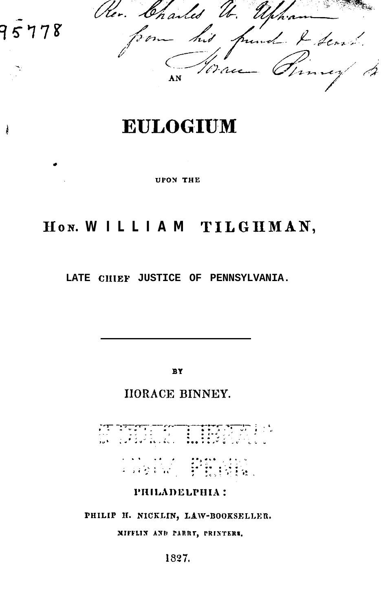r antes und & Sem  $^{\prime}$  rn ve AN

9

À

778

**UPON THE** 

# HON. WILLIAM TILGHMAN,

**LATE CIIIEP JUSTICE OF PENNSYLVANIA.**

**BY**

IIORACE BINNEY.

おぼりある

PHILADELPHIA:

**PHILIP II. NICKLm, LAW-I3OORSELLER.**

MIFFLIN AND PARRY, PRINTERS.

1827.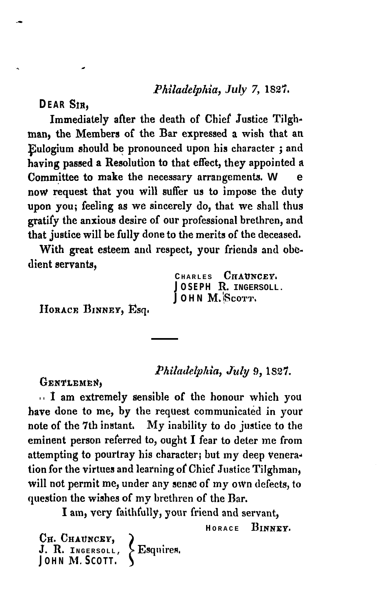**DEAR SIR,**

Immediately afier the death of Chief Justice Tilghman, the Members of the Bar expressed a wish that an Fulogium should be pronounced upon his character j and having passed a Resolution to that effect, they appointed a Committee to make the necessary arrangements. W now request that you will suffer us to impose the duty upon you; feeling as we sincerely do, that we shall thus gratify the anxious desire of our professional brethren, and that justice will be fully done to the merits of the deceased.

With great esteem and respect, your friends and obedient servants,

> **CHARLES CRAWNCEY. JOSEPH** R. **INGERSOLL.** JOHN M. Scorr.

HORACE BINNEY, Esq.

*Phifade&ha'a, Judy 9,* **1~2'7.**

GENTLEMEN,

**. .** <sup>1</sup> am extremely sensible of the honour which you have done to me, by the request communicated in your note of the 7th instant. My inability to do justice to the eminent person referred to, ought I fear to deter me from attempting to pourtray his character; but my deep veneration for the virtues and learning of Chief Justice Tilghman, will not permit me, under any sense of my own defects, to question the wishes of my brethren of the Bar.

I am, very faithfully, your friend and servant,

**H ORACE BINNEP.**

*Ca.* **CHAIINCEY,** J. R. **INGERSOLL,** Esquires, **JOHN M. SCOTT.**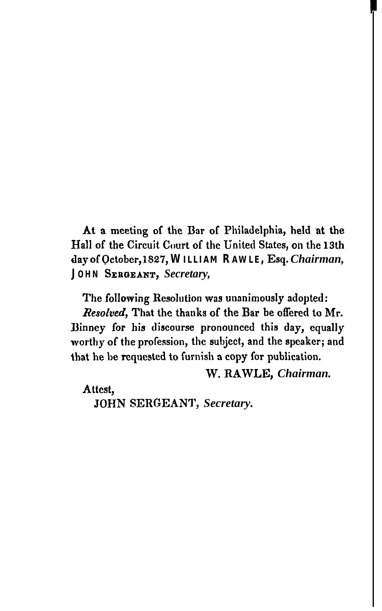At a meeting of the Bar of Philadelphia, held at the Hall of the Circuit Court of the United States, on the 13th day of October, 1827, **WILLIAM RAWLE,** Esq. *Chairman,* **JOHN SEEBEANT,** *Secretary,*

The following Resolution was unanimously adopted: Resolved, That the thanks of the Bar be offered to Mr. Binney for his discourse pronounced this day, equally worthy of the profession, the subject, and the speaker; and that he be requested to furnish a copy for publication.

W. RAWLE, *Chairman.*

Attest,

JOHN SERGEANT, *Secretary.*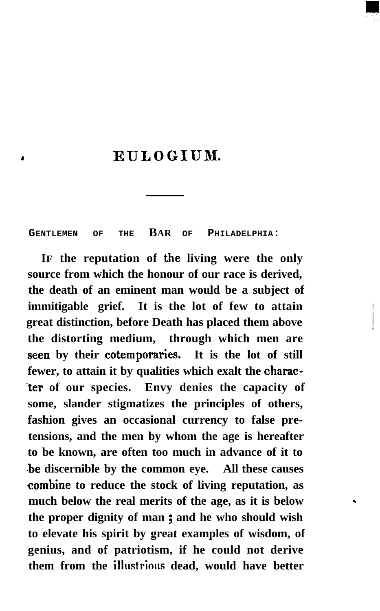# , **EULOGIUM.**

**GENTLEMEN OF THE BAR OF PHILADELPHIA:**

**IF the reputation of the living were the only source from which the honour of our race is derived, the death of an eminent man would be a subject of immitigable grief. It is the lot of few to attain great distinction, before Death has placed them above the distorting medium, through which men are .seen by their cotemporaries. It is the lot of still fewer, to attain it by qualities which exalt the charac- .ter of our species. Envy denies the capacity of some, slander stigmatizes the principles of others, fashion gives an occasional currency to false pretensions, and the men by whom the age is hereafter to be known, are often too much in advance of it to .be discernible by the common eye. All these causes .combine to reduce the stock of living reputation, as much below the real merits of the age, as it is below the proper dignity of man ; and he who should wish to elevate his spirit by great examples of wisdom, of genius, and of patriotism, if he could not derive them from the illnstrions dead, would have better**

.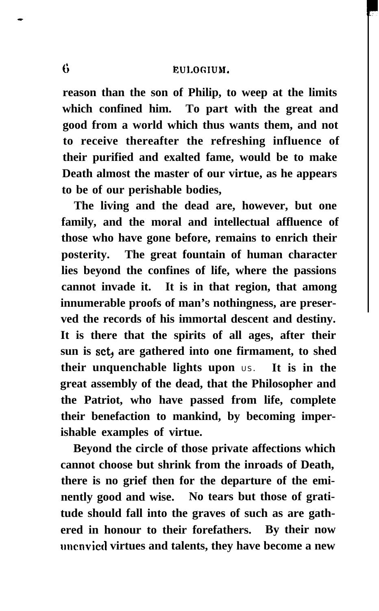# G EULOGIUM.

**reason than the son of Philip, to weep at the limits which confined him. To part with the great and good from a world which thus wants them, and not to receive thereafter the refreshing influence of their purified and exalted fame, would be to make Death almost the master of our virtue, as he appears to be of our perishable bodies,**

**The living and the dead are, however, but one family, and the moral and intellectual affluence of those who have gone before, remains to enrich their posterity. The great fountain of human character lies beyond the confines of life, where the passions cannot invade it. It is in that region, that among innumerable proofs of man's nothingness, are preserved the records of his immortal descent and destiny. It is there that the spirits of all ages, after their sun is set, are gathered into one firmament, to shed their unquenchable lights upon** US. **It is in the great assembly of the dead, that the Philosopher and the Patriot, who have passed from life, complete their benefaction to mankind, by becoming imperishable examples of virtue.**

**Beyond the circle of those private affections which cannot choose but shrink from the inroads of Death, there is no grief then for the departure of the eminently good and wise. No tears but those of gratitude should fall into the graves of such as are gathered in honour to their forefathers. By their now nncnvied virtues and talents, they have become a new**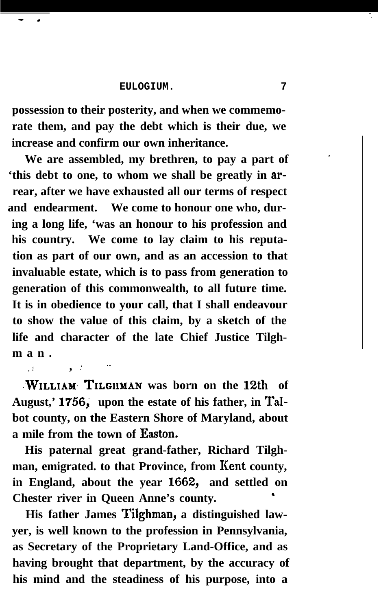$\frac{1}{\sqrt{2}}$  , and the set of the set of the set of the set of the set of the set of the set of the set of the set of the set of the set of the set of the set of the set of the set of the set of the set of the set of the

**possession to their posterity, and when we commemorate them, and pay the debt which is their due, we increase and confirm our own inheritance.**

**We are assembled, my brethren, to pay a part of 'this debt to one, to whom we shall be greatly in arrear, after we have exhausted all our terms of respect and endearment. We come to honour one who, during a long life, 'was an honour to his profession and his country. We come to lay claim to his reputation as part of our own, and as an accession to that invaluable estate, which is to pass from generation to generation of this commonwealth, to all future time. It is in obedience to your call, that I shall endeavour to show the value of this claim, by a sketch of the life and character of the late Chief Justice Tilghman.**

**.WILLIAM, TILGIIMAN was born on the** 12th **of** August,' 1756, upon the estate of his father, in Tal**bot county, on the Eastern Shore of Maryland, about a mile from the town of Easton.**

**,. .! , .'**

**His paternal great grand-father, Richard Tilghman, emigrated. to that Province, from Kent county, in England, about the year** 1662, **and settled on Chester river in Queen Anne's county. '**

**His father James Tilghman, a distinguished lawyer, is well known to the profession in Pennsylvania, as Secretary of the Proprietary Land-Office, and as having brought that department, by the accuracy of his mind and the steadiness of his purpose, into a**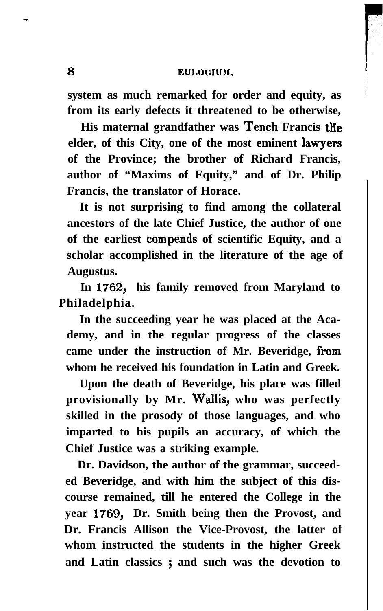**system as much remarked for order and equity, as from its early defects it threatened to be otherwise,**

**His maternal grandfather was Tench Francis the elder, of this City, one of the most eminent lawyers of the Province; the brother of Richard Francis, author of "Maxims of Equity," and of Dr. Philip Francis, the translator of Horace.**

**It is not surprising to find among the collateral ancestors of the late Chief Justice, the author of one of the earliest compends of scientific Equity, and a scholar accomplished in the literature of the age of Augustus.**

**In** 1762, **his family removed from Maryland to Philadelphia.**

**In the succeeding year he was placed at the Academy, and in the regular progress of the classes** came under the instruction of Mr. Beveridge, from **whom he received his foundation in Latin and Greek.**

**Upon the death of Beveridge, his place was filled provisionally by Mr. Wallis, who was perfectly skilled in the prosody of those languages, and who imparted to his pupils an accuracy, of which the Chief Justice was a striking example.**

**Dr. Davidson, the author of the grammar, succeeded Beveridge, and with him the subject of this discourse remained, till he entered the College in the year** 1769, **Dr. Smith being then the Provost, and Dr. Francis Allison the Vice-Provost, the latter of whom instructed the students in the higher Greek and Latin classics ; and such was the devotion to**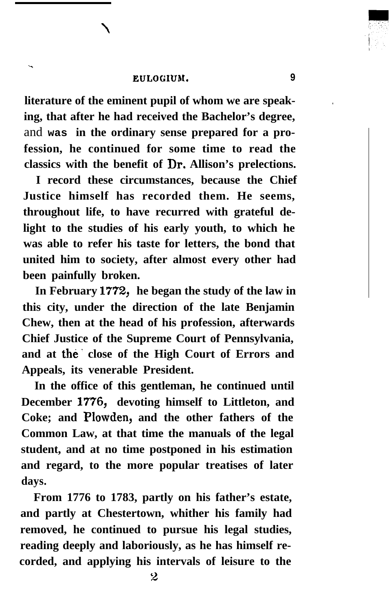.

**literature of the eminent pupil of whom we are speaking, that after he had received the Bachelor's degree,** and **was in the ordinary sense prepared for a profession, he continued for some time to read the classics with the benefit of Dr. Allison's prelections.**

**I record these circumstances, because the Chief Justice himself has recorded them. He seems, throughout life, to have recurred with grateful delight to the studies of his early youth, to which he was able to refer his taste for letters, the bond that united him to society, after almost every other had been painfully broken.**

**In February** 1772, **he began the study of the law in this city, under the direction of the late Benjamin Chew, then at the head of his profession, afterwards Chief Justice of the Supreme Court of Pennsylvania, and at the. close of the High Court of Errors and Appeals, its venerable President.**

**In the office of this gentleman, he continued until December** 1776, **devoting himself to Littleton, and Coke; and Plowden, and the other fathers of the Common Law, at that time the manuals of the legal student, and at no time postponed in his estimation and regard, to the more popular treatises of later days.**

**From 1776 to 1783, partly on his father's estate, and partly at Chestertown, whither his family had removed, he continued to pursue his legal studies, reading deeply and laboriously, as he has himself recorded, and applying his intervals of leisure to the**

**.**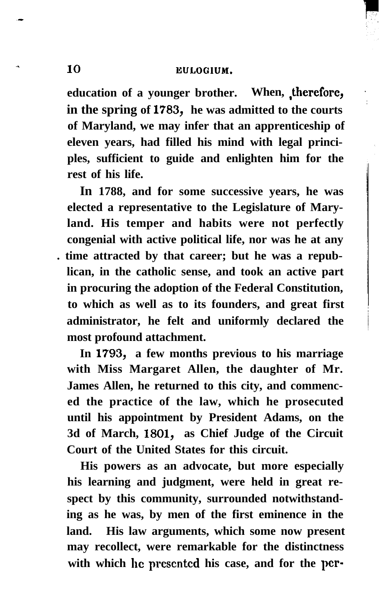**education of a younger brother. When, ,therefore, in the spring of** 1783, **he was admitted to the courts of Maryland, we may infer that an apprenticeship of eleven years, had filled his mind with legal principles, sufficient to guide and enlighten him for the rest of his life.**

**In 1788, and for some successive years, he was elected a representative to the Legislature of Maryland. His temper and habits were not perfectly congenial with active political life, nor was he at any . time attracted by that career; but he was a republican, in the catholic sense, and took an active part in procuring the adoption of the Federal Constitution, to which as well as to its founders, and great first administrator, he felt and uniformly declared the most profound attachment.**

**In** 1793, **a few months previous to his marriage with Miss Margaret Allen, the daughter of Mr. James Allen, he returned to this city, and commenced the practice of the law, which he prosecuted until his appointment by President Adams, on the 3d of March,** 1801, **as Chief Judge of the Circuit Court of the United States for this circuit.**

**His powers as an advocate, but more especially his learning and judgment, were held in great respect by this community, surrounded notwithstanding as he was, by men of the first eminence in the land. His law arguments, which some now present may recollect, were remarkable for the distinctness with which hc prescntcd his case, and for the pcr-**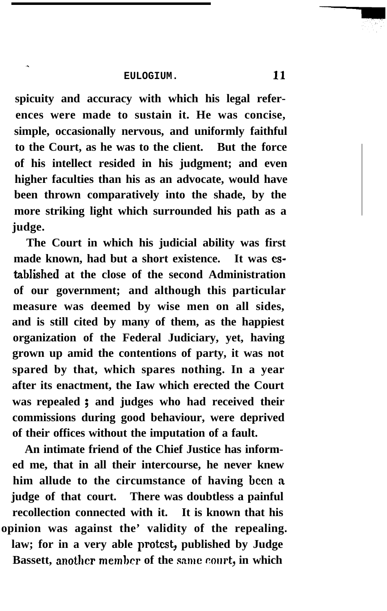.

**spicuity and accuracy with which his legal references were made to sustain it. He was concise, simple, occasionally nervous, and uniformly faithful to the Court, as he was to the client. But the force of his intellect resided in his judgment; and even higher faculties than his as an advocate, would have been thrown comparatively into the shade, by the more striking light which surrounded his path as a judge.**

**The Court in which his judicial ability was first made known, had but a short existence. It was cs**tablished at the close of the second Administration **of our government; and although this particular measure was deemed by wise men on all sides, and is still cited by many of them, as the happiest organization of the Federal Judiciary, yet, having grown up amid the contentions of party, it was not spared by that, which spares nothing. In a year after its enactment, the Iaw which erected the Court was repealed ; and judges who had received their commissions during good behaviour, were deprived of their offices without the imputation of a fault.**

**An intimate friend of the Chief Justice has informed me, that in all their intercourse, he never knew him allude to the circumstance of having been a judge of that court. There was doubtless a painful recollection connected with it. It is known that his opinion was against the' validity of the repealing. law; for in a very able protest, published by Judge Bassett, another member of the same court, in which**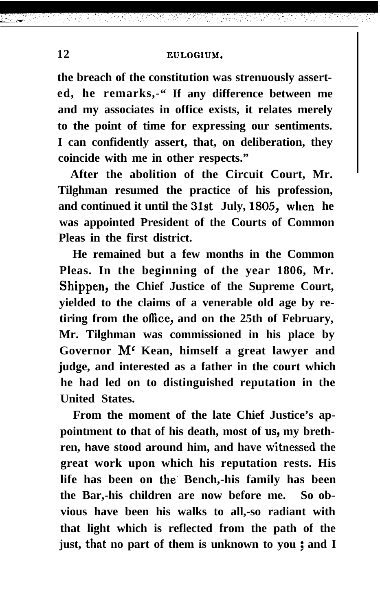# **12 EULOC:IUM,**

**the breach of the constitution was strenuously asserted, he remarks,-" If any difference between me and my associates in office exists, it relates merely to the point of time for expressing our sentiments. I can confidently assert, that, on deliberation, they coincide with me in other respects."**

**After the abolition of the Circuit Court, Mr. Tilghman resumed the practice of his profession, and continued it until the** 31st **July,** 1805, when **he was appointed President of the Courts of Common Pleas in the first district.**

**He remained but a few months in the Common Pleas. In the beginning of the year 1806, Mr. Shippen, the Chief Justice of the Supreme Court, yielded to the claims of a venerable old age by retiring from the office, and on the 25th of February, Mr. Tilghman was commissioned in his place by Governor M' Kean, himself a great lawyer and judge, and interested as a father in the court which he had led on to distinguished reputation in the United States.**

**From the moment of the late Chief Justice's ap**pointment to that of his death, most of us, my brethren, have stood around him, and have witnessed the **great work upon which his reputation rests. His life has been on the. Bench,-his family has been the Bar,-his children are now before me. So obvious have been his walks to all,-so radiant with that light which is reflected from the path of the just, that no part of them is unknown to you ; and I**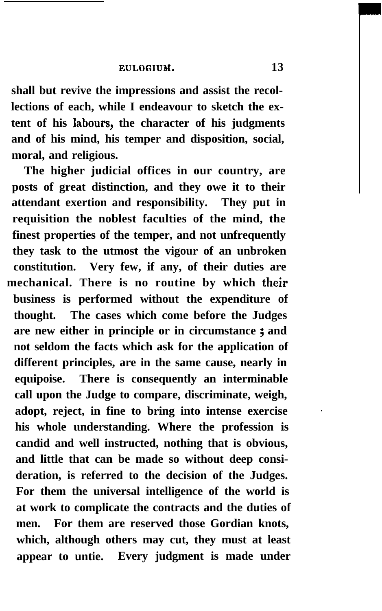**shall but revive the impressions and assist the recollections of each, while I endeavour to sketch the extent of his labours, the character of his judgments and of his mind, his temper and disposition, social, moral, and religious.**

**The higher judicial offices in our country, are posts of great distinction, and they owe it to their attendant exertion and responsibility. They put in requisition the noblest faculties of the mind, the finest properties of the temper, and not unfrequently they task to the utmost the vigour of an unbroken constitution. Very few, if any, of their duties are mechanical. There is no routine by which their business is performed without the expenditure of thought. The cases which come before the Judges are new either in principle or in circumstance ; and not seldom the facts which ask for the application of different principles, are in the same cause, nearly in equipoise. There is consequently an interminable call upon the Judge to compare, discriminate, weigh,** adopt, reject, in fine to bring into intense exercise **his whole understanding. Where the profession is candid and well instructed, nothing that is obvious, and little that can be made so without deep consideration, is referred to the decision of the Judges. For them the universal intelligence of the world is at work to complicate the contracts and the duties of men. For them are reserved those Gordian knots, which, although others may cut, they must at least appear to untie. Every judgment is made under**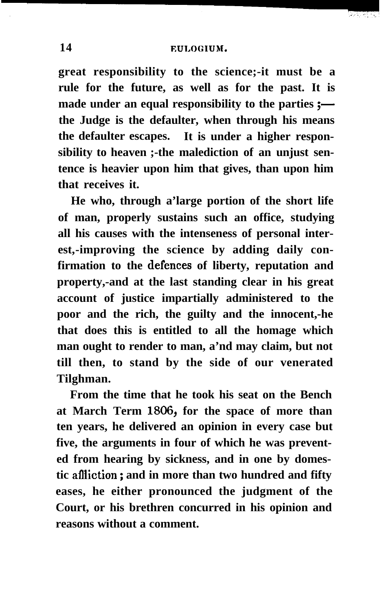1970 PA PT

**great responsibility to the science;-it must be a rule for the future, as well as for the past. It is** made under an equal responsibility to the parties **; the Judge is the defaulter, when through his means the defaulter escapes. It is under a higher responsibility to heaven ;-the malediction of an unjust sentence is heavier upon him that gives, than upon him that receives it.**

**He who, through a'large portion of the short life of man, properly sustains such an office, studying all his causes with the intenseness of personal interest,-improving the science by adding daily confirmation to the defences of liberty, reputation and property,-and at the last standing clear in his great account of justice impartially administered to the poor and the rich, the guilty and the innocent,-he that does this is entitled to all the homage which man ought to render to man, a'nd may claim, but not till then, to stand by the side of our venerated Tilghman.**

**From the time that he took his seat on the Bench at March Term 1806, for the space of more than ten years, he delivered an opinion in every case but five, the arguments in four of which he was prevented from hearing by sickness, and in one by domestic aflliction ; and in more than two hundred and fifty eases, he either pronounced the judgment of the Court, or his brethren concurred in his opinion and reasons without a comment.**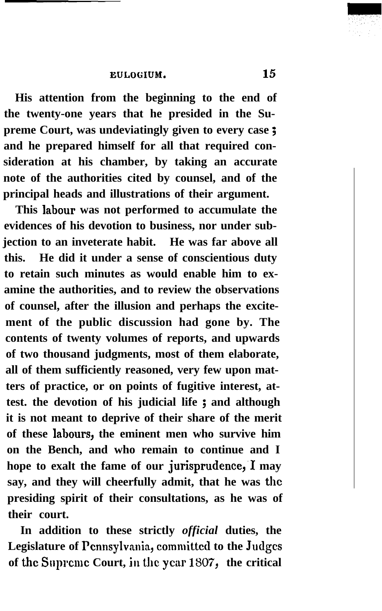**His attention from the beginning to the end of the twenty-one years that he presided in the Supreme Court, was undeviatingly given to every case ; and he prepared himself for all that required consideration at his chamber, by taking an accurate note of the authorities cited by counsel, and of the principal heads and illustrations of their argument.**

**This labour was not performed to accumulate the evidences of his devotion to business, nor under subjection to an inveterate habit. He was far above all this. He did it under a sense of conscientious duty to retain such minutes as would enable him to examine the authorities, and to review the observations of counsel, after the illusion and perhaps the excitement of the public discussion had gone by. The contents of twenty volumes of reports, and upwards of two thousand judgments, most of them elaborate, all of them sufficiently reasoned, very few upon matters of practice, or on points of fugitive interest, attest. the devotion of his judicial life ; and although it is not meant to deprive of their share of the merit of these labours, the eminent men who survive him on the Bench, and who remain to continue and I** hope to exalt the fame of our jurisprudence, I may **say, and they will cheerfully admit, that he was the presiding spirit of their consultations, as he was of their court.**

**In addition to these strictly** *official* **duties, the Legislature of Pcnnsylvanin, committed to the Judges of the Suprcmc Court, in the year** 1807, **the critical**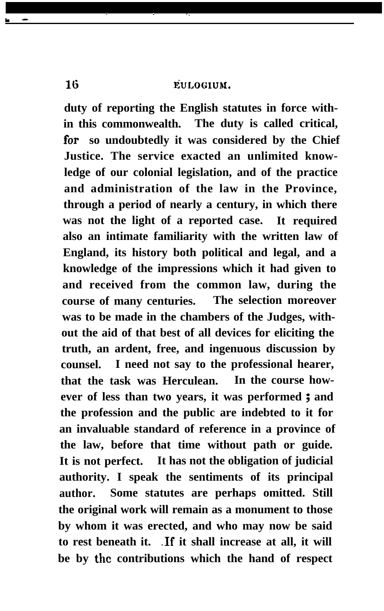. . . .

**duty of reporting the English statutes in force within this commonwealth. The duty is called critical,** for **so undoubtedly it was considered by the Chief Justice. The service exacted an unlimited knowledge of our colonial legislation, and of the practice and administration of the law in the Province, through a period of nearly a century, in which there was not the light of a reported case. It required also an intimate familiarity with the written law of England, its history both political and legal, and a knowledge of the impressions which it had given to and received from the common law, during the course of many centuries. The selection moreover was to be made in the chambers of the Judges, without the aid of that best of all devices for eliciting the truth, an ardent, free, and ingenuous discussion by counsel. I need not say to the professional hearer, that the task was Herculean. In the course however of less than two years, it was performed ; and the profession and the public are indebted to it for an invaluable standard of reference in a province of the law, before that time without path or guide. It is not perfect. It has not the obligation of judicial authority. I speak the sentiments of its principal author. Some statutes are perhaps omitted. Still the original work will remain as a monument to those by whom it was erected, and who may now be said to rest beneath it. .If it shall increase at all, it will be by the contributions which the hand of respect**

<u>.</u>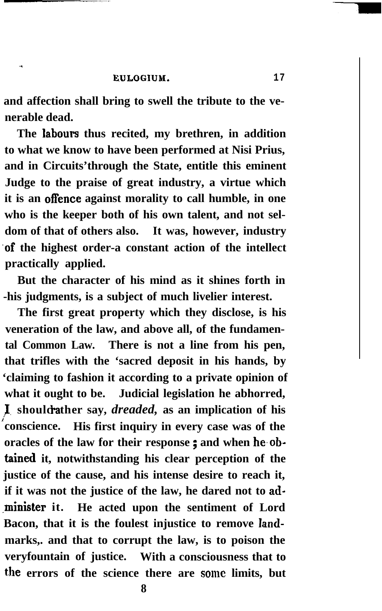-

**and affection shall bring to swell the tribute to the venerable dead.**

**The labours thus recited, my brethren, in addition to what we know to have been performed at Nisi Prius, and in Circuits'through the State, entitle this eminent Judge to the praise of great industry, a virtue which it is an offence against morality to call humble, in one who is the keeper both of his own talent, and not seldom of that of others also. It was, however, industry 'of the highest order-a constant action of the intellect practically applied.**

**But the character of his mind as it shines forth in -his judgments, is a subject of much livelier interest.**

**The first great property which they disclose, is his veneration of the law, and above all, of the fundamental Common Law. There is not a line from his pen, that trifles with the 'sacred deposit in his hands, by 'claiming to fashion it according to a private opinion of what it ought to be. Judicial legislation he abhorred, I** should rather say, *dreaded*, as an implication of his **conscience. His first inquiry in every case was of the oracles of the law for their response ; and when he.obtained it, notwithstanding his clear perception of the justice of the cause, and his intense desire to reach it, if it was not the justice of the law, he dared not to ad- .minister it. He acted upon the sentiment of Lord Bacon, that it is the foulest injustice to remove Iandmarks,. and that to corrupt the law, is to poison the veryfountain of justice. With a consciousness that to** the errors of the science there are some limits, but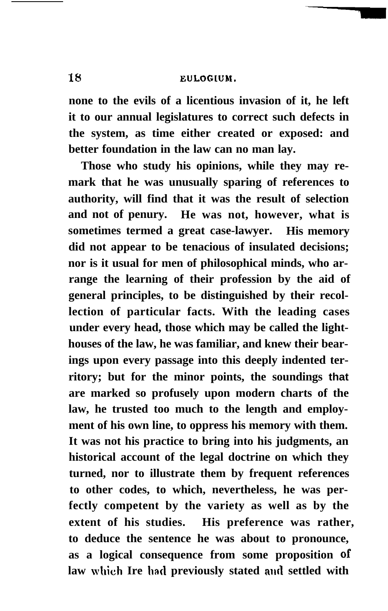**none to the evils of a licentious invasion of it, he left it to our annual legislatures to correct such defects in the system, as time either created or exposed: and better foundation in the law can no man lay.**

**Those who study his opinions, while they may remark that he was unusually sparing of references to authority, will find that it was the result of selection and not of penury. He was not, however, what is sometimes termed a great case-lawyer. His memory did not appear to be tenacious of insulated decisions; nor is it usual for men of philosophical minds, who arrange the learning of their profession by the aid of general principles, to be distinguished by their recollection of particular facts. With the leading cases under every head, those which may be called the lighthouses of the law, he was familiar, and knew their bearings upon every passage into this deeply indented territory; but for the minor points, the soundings that are marked so profusely upon modern charts of the law, he trusted too much to the length and employment of his own line, to oppress his memory with them. It was not his practice to bring into his judgments, an historical account of the legal doctrine on which they turned, nor to illustrate them by frequent references to other codes, to which, nevertheless, he was perfectly competent by the variety as well as by the extent of his studies. His preference was rather, to deduce the sentence he was about to pronounce, as a logical consequence from some proposition of law which Ire bad previously stated and settled with**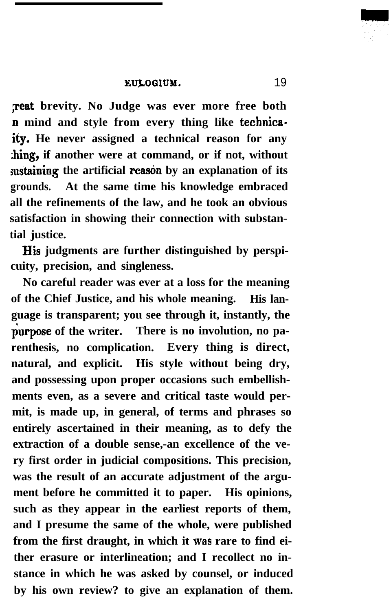**Feat brevity. No Judge was ever more free both n mind and style from every thing like technicaity, He never assigned a technical reason for any ;hing, if another were at command, or if not, without** sustaining the artificial reason by an explanation of its **grounds. At the same time his knowledge embraced all the refinements of the law, and he took an obvious satisfaction in showing their connection with substantial justice.**

**IIis judgments are further distinguished by perspicuity, precision, and singleness.**

**No careful reader was ever at a loss for the meaning of the Chief Justice, and his whole meaning. His language is transparent; you see through it, instantly, the** purpose of the writer. There is no involution, no pa**renthesis, no complication. Every thing is direct, natural, and explicit. His style without being dry, and possessing upon proper occasions such embellishments even, as a severe and critical taste would permit, is made up, in general, of terms and phrases so entirely ascertained in their meaning, as to defy the extraction of a double sense,-an excellence of the very first order in judicial compositions. This precision, was the result of an accurate adjustment of the argument before he committed it to paper. His opinions, such as they appear in the earliest reports of them, and I presume the same of the whole, were published from the first draught, in which it was rare to find either erasure or interlineation; and I recollect no instance in which he was asked by counsel, or induced by his own review? to give an explanation of them.**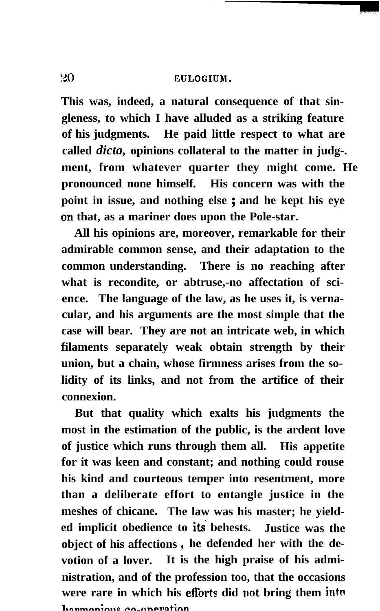# 20 **EULOGLUM.**

**This was, indeed, a natural consequence of that singleness, to which I have alluded as a striking feature of his judgments. He paid little respect to what are called** *dicta,* **opinions collateral to the matter in judg-. ment, from whatever quarter they might come. He pronounced none himself. His concern was with the point in issue, and nothing else ; and he kept his eye on that, as a mariner does upon the Pole-star.**

**All his opinions are, moreover, remarkable for their admirable common sense, and their adaptation to the common understanding. There is no reaching after what is recondite, or abtruse,-no affectation of science. The language of the law, as he uses it, is vernacular, and his arguments are the most simple that the case will bear. They are not an intricate web, in which filaments separately weak obtain strength by their union, but a chain, whose firmness arises from the solidity of its links, and not from the artifice of their connexion.**

**But that quality which exalts his judgments the most in the estimation of the public, is the ardent love of justice which runs through them all. His appetite for it was keen and constant; and nothing could rouse his kind and courteous temper into resentment, more than a deliberate effort to entangle justice in the meshes of chicane. The law was his master; he yielded implicit obedience to iti behests. Justice was the object of his affections, he defended her with the devotion of a lover. It is the high praise of his administration, and of the profession too, that the occasions were rare in which his eflorts did not bring them into l.nal.n,-mLw.. nn~nnel.nt;nn**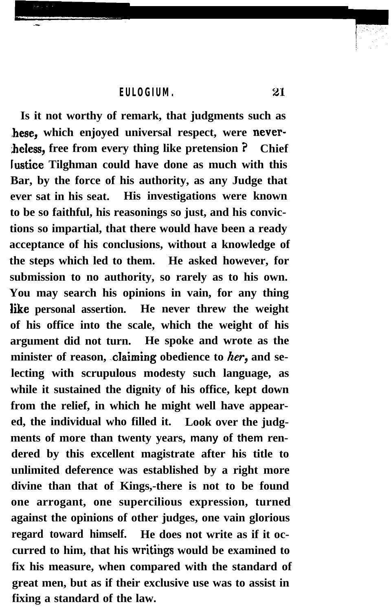**Is it not worthy of remark, that judgments such as hese, which enjoyed universal respect, were neverbeless, free from every thing like pretension ? Chief lustice Tilghman could have done as much with this Bar, by the force of his authority, as any Judge that ever sat in his seat. His investigations were known to be so faithful, his reasonings so just, and his convictions so impartial, that there would have been a ready acceptance of his conclusions, without a knowledge of the steps which led to them. He asked however, for submission to no authority, so rarely as to his own. You may search his opinions in vain, for any thing Eke personal assertion. He never threw the weight of his office into the scale, which the weight of his argument did not turn. He spoke and wrote as the** minister of reason, claiming obedience to her, and se**lecting with scrupulous modesty such language, as while it sustained the dignity of his office, kept down from the relief, in which he might well have appeared, the individual who filled it. Look over the judgments of more than twenty years, many of them rendered by this excellent magistrate after his title to unlimited deference was established by a right more divine than that of Kings,-there is not to be found one arrogant, one supercilious expression, turned against the opinions of other judges, one vain glorious regard toward himself. He does not write as if it oc**curred to him, that his writings would be examined to **fix his measure, when compared with the standard of great men, but as if their exclusive use was to assist in fixing a standard of the law.**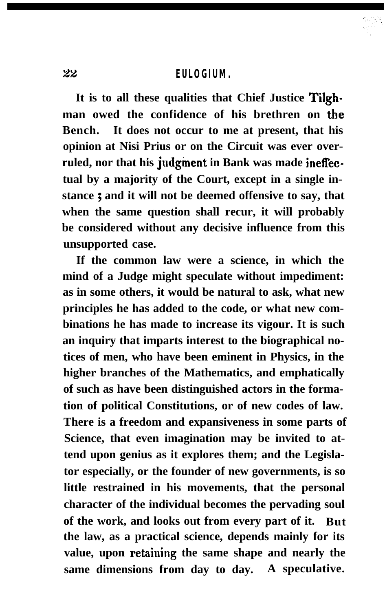**It is to all these qualities that Chief Justice Tilghman owed the confidence of his brethren on the Bench. It does not occur to me at present, that his opinion at Nisi Prius or on the Circuit was ever overruled, nor that his judgment in Bank was made inefl'ectual by a majority of the Court, except in a single instance ; and it will not be deemed offensive to say, that when the same question shall recur, it will probably be considered without any decisive influence from this unsupported case.**

**If the common law were a science, in which the mind of a Judge might speculate without impediment: as in some others, it would be natural to ask, what new principles he has added to the code, or what new combinations he has made to increase its vigour. It is such an inquiry that imparts interest to the biographical notices of men, who have been eminent in Physics, in the higher branches of the Mathematics, and emphatically of such as have been distinguished actors in the formation of political Constitutions, or of new codes of law. There is a freedom and expansiveness in some parts of Science, that even imagination may be invited to attend upon genius as it explores them; and the Legislator especially, or the founder of new governments, is so little restrained in his movements, that the personal character of the individual becomes the pervading soul of the work, and looks out from every part of it. But the law, as a practical science, depends mainly for its** value, upon retaining the same shape and nearly the **same dimensions from day to day. A speculative.**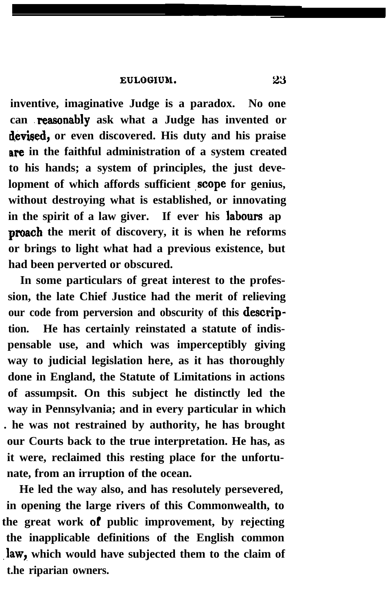**inventive, imaginative Judge is a paradox. No one can .reasonably ask what a Judge has invented or devised, or even discovered. His duty and his praise are in the faithful administration of a system created to his hands; a system of principles, the just deve**lopment of which affords sufficient scope for genius, **without destroying what is established, or innovating in the spirit of a law giver. If ever his labours ap proach** the merit of discovery, it is when he reforms **or brings to light what had a previous existence, but had been perverted or obscured.**

**In some particulars of great interest to the profession, the late Chief Justice had the merit of relieving** our code from perversion and obscurity of this **description. He has certainly reinstated a statute of indispensable use, and which was imperceptibly giving way to judicial legislation here, as it has thoroughly done in England, the Statute of Limitations in actions of assumpsit. On this subject he distinctly led the way in Pennsylvania; and in every particular in which . he was not restrained by authority, he has brought our Courts back to the true interpretation. He has, as it were, reclaimed this resting place for the unfortunate, from an irruption of the ocean.**

**He led the way also, and has resolutely persevered, in opening the large rivers of this Commonwealth, to** the great work of public improvement, by rejecting **the inapplicable definitions of the English common** law, which would have subjected them to the claim of **t.he riparian owners.**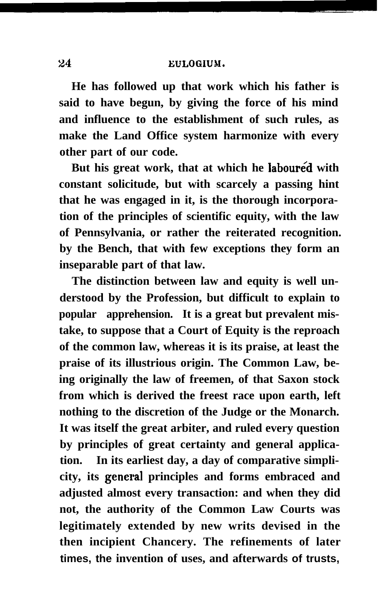**He has followed up that work which his father is said to have begun, by giving the force of his mind and influence to the establishment of such rules, as make the Land Office system harmonize with every other part of our code.**

**But his great work, that at which he laboured with constant solicitude, but with scarcely a passing hint that he was engaged in it, is the thorough incorporation of the principles of scientific equity, with the law of Pennsylvania, or rather the reiterated recognition. by the Bench, that with few exceptions they form an inseparable part of that law.**

**The distinction between law and equity is well understood by the Profession, but difficult to explain to popular apprehension. It is a great but prevalent mistake, to suppose that a Court of Equity is the reproach of the common law, whereas it is its praise, at least the praise of its illustrious origin. The Common Law, being originally the law of freemen, of that Saxon stock from which is derived the freest race upon earth, left nothing to the discretion of the Judge or the Monarch. It was itself the great arbiter, and ruled every question by principles of great certainty and general application. In its earliest day, a day of comparative simpli**city, its general principles and forms embraced and **adjusted almost every transaction: and when they did not, the authority of the Common Law Courts was legitimately extended by new writs devised in the then incipient Chancery. The refinements of later times, the invention of uses, and afterwards of trusts,**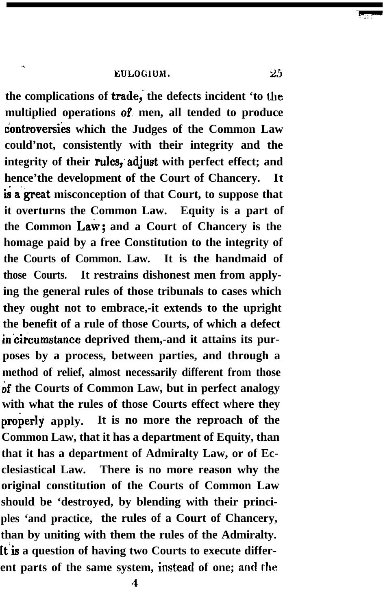.

the complications of **trade**, the defects incident 'to the **multiplied operations of. men, all tended to produce uontroversies which the Judges of the Common Law could'not, consistently with their integrity and the integrity of their rules;adjust with perfect effect; and hence'the development of the Court of Chancery. It \$ a'great misconception of that Court, to suppose that it overturns the Common Law. Equity is a part of** the Common Law; and a Court of Chancery is the **homage paid by a free Constitution to the integrity of the Courts of Common. Law. It is the handmaid of those Courts. It restrains dishonest men from applying the general rules of those tribunals to cases which they ought not to embrace,-it extends to the upright the benefit of a rule of those Courts, of which a defect** in circumstance deprived them,-and it attains its pur**poses by a process, between parties, and through a method of relief, almost necessarily different from those of the Courts of Common Law, but in perfect analogy with what the rules of those Courts effect where they properly** apply. It is no more the reproach of the **Common Law, that it has a department of Equity, than that it has a department of Admiralty Law, or of Ecclesiastical Law. There is no more reason why the original constitution of the Courts of Common Law should be 'destroyed, by blending with their principles 'and practice, the rules of a Court of Chancery, than by uniting with them the rules of the Admiralty. [t-is a question of having two Courts to execute different parts of the same system, instead of one; and the**

-

 $\tau_{\rm 3.7}$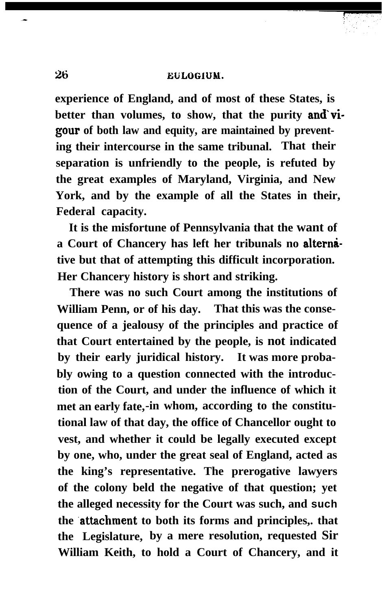**experience of England, and of most of these States, is** better than volumes, to show, that the purity and vi**gour of both law and equity, are maintained by preventing their intercourse in the same tribunal. That their separation is unfriendly to the people, is refuted by the great examples of Maryland, Virginia, and New York, and by the example of all the States in their, Federal capacity.**

**It is the misfortune of Pennsylvania that the want of** a Court of Chancery has left her tribunals no alterna**tive but that of attempting this difficult incorporation. Her Chancery history is short and striking.**

**There was no such Court among the institutions of William Penn, or of his day. That this was the consequence of a jealousy of the principles and practice of that Court entertained by the people, is not indicated by their early juridical history. It was more probably owing to a question connected with the introduction of the Court, and under the influence of which it met an early fate,-in whom, according to the constitutional law of that day, the office of Chancellor ought to vest, and whether it could be legally executed except by one, who, under the great seal of England, acted as the king's representative. The prerogative lawyers of the colony beld the negative of that question; yet the alleged necessity for the Court was such, and such** the **attachment** to both its forms and principles, that **the Legislature, by a mere resolution, requested Sir William Keith, to hold a Court of Chancery, and it**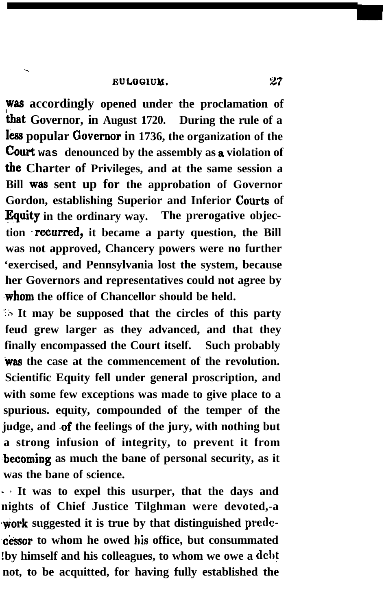.

**~88 accordingly opened under the proclamation of 'tnat Governor, in August 1720. During the rule of a less popular Governor in 1736, the organization of the** court **was denounced by the assembly as a violation of the Charter of Privileges, and at the same session a Bill was sent up for the approbation of Governor Gordon, establishing Superior and Inferior Courts of Bquity in the ordinary way. The prerogative objection .recurred, it became a party question, the Bill was not approved, Chancery powers were no further 'exercised, and Pennsylvania lost the system, because her Governors and representatives could not agree by ,whom the office of Chancellor should be held.**

**It may be supposed that the circles of this party feud grew larger as they advanced, and that they finally encompassed the Court itself. Such probably was the case at the commencement of the revolution. Scientific Equity fell under general proscription, and with some few exceptions was made to give place to a spurious. equity, compounded of the temper of the judge, and .of the feelings of the jury, with nothing but a strong infusion of integrity, to prevent it from .becoming as much the bane of personal security, as it was the bane of science.**

**- 2 It was to expel this usurper, that the days and nights of Chief Justice Tilghman were devoted,-a +ork suggested it is true by that distinguished prede- ,ckssor to whom he owed his office, but consummated !by himself and his colleagues, to whom we owe a debt not, to be acquitted, for having fully established the**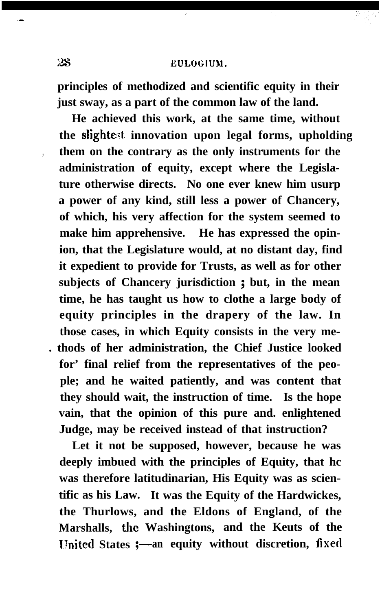### **;i 5,' EULOGIUM.**

**principles of methodized and scientific equity in their just sway, as a part of the common law of the land.**

**He achieved this work, at the same time, without the slighte::t innovation upon legal forms, upholding , them on the contrary as the only instruments for the administration of equity, except where the Legislature otherwise directs. No one ever knew him usurp a power of any kind, still less a power of Chancery, of which, his very affection for the system seemed to make him apprehensive. He has expressed the opinion, that the Legislature would, at no distant day, find it expedient to provide for Trusts, as well as for other subjects of Chancery jurisdiction ; but, in the mean time, he has taught us how to clothe a large body of equity principles in the drapery of the law. In those cases, in which Equity consists in the very me- . thods of her administration, the Chief Justice looked for' final relief from the representatives of the people; and he waited patiently, and was content that they should wait, the instruction of time. Is the hope vain, that the opinion of this pure and. enlightened Judge, may be received instead of that instruction?**

**Let it not be supposed, however, because he was deeply imbued with the principles of Equity, that hc was therefore latitudinarian, His Equity was as scientific as his Law. It was the Equity of the Hardwickes, the Thurlows, and the Eldons of England, of the Marshalls, the Washingtons, and the Keuts of the United States :- an equity without discretion, fixed**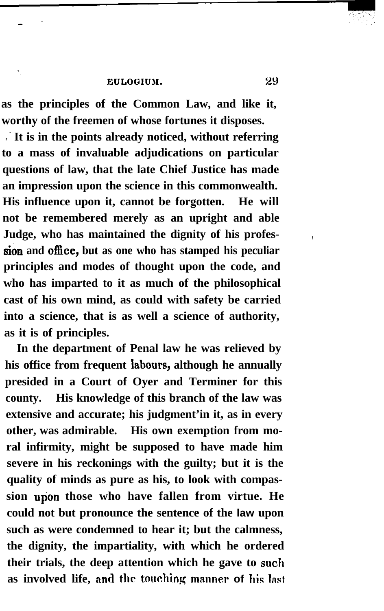**as the principles of the Common Law, and like it, worthy of the freemen of whose fortunes it disposes.**

**,. It is in the points already noticed, without referring to a mass of invaluable adjudications on particular questions of law, that the late Chief Justice has made an impression upon the science in this commonwealth. His influence upon it, cannot be forgotten. He will not be remembered merely as an upright and able Judge, who has maintained the dignity of his profes- , sion and oflice, but as one who has stamped his peculiar principles and modes of thought upon the code, and who has imparted to it as much of the philosophical cast of his own mind, as could with safety be carried into a science, that is as well a science of authority, as it is of principles.**

**In the department of Penal law he was relieved by his office from frequent labours, although he annually presided in a Court of Oyer and Terminer for this county. His knowledge of this branch of the law was extensive and accurate; his judgment'in it, as in every other, was admirable. His own exemption from moral infirmity, might be supposed to have made him severe in his reckonings with the guilty; but it is the quality of minds as pure as his, to look with compassion upon those who have fallen from virtue. He could not but pronounce the sentence of the law upon such as were condemned to hear it; but the calmness, the dignity, the impartiality, with which he ordered their trials, the deep attention which he gave to suclr** as involved life, and the touching manner of his last

29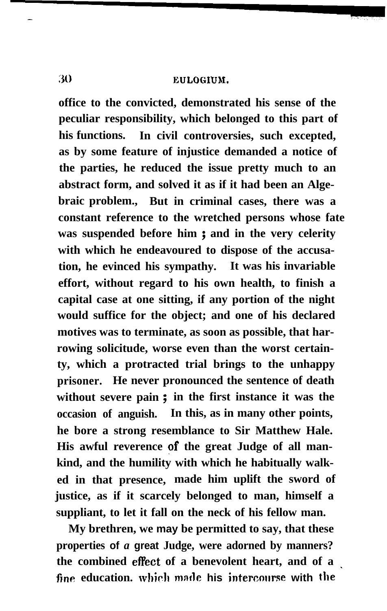**office to the convicted, demonstrated his sense of the peculiar responsibility, which belonged to this part of his functions. In civil controversies, such excepted, as by some feature of injustice demanded a notice of the parties, he reduced the issue pretty much to an abstract form, and solved it as if it had been an Algebraic problem., But in criminal cases, there was a constant reference to the wretched persons whose fate was suspended before him ; and in the very celerity with which he endeavoured to dispose of the accusation, he evinced his sympathy. It was his invariable effort, without regard to his own health, to finish a capital case at one sitting, if any portion of the night would suffice for the object; and one of his declared motives was to terminate, as soon as possible, that harrowing solicitude, worse even than the worst certainty, which a protracted trial brings to the unhappy prisoner. He never pronounced the sentence of death without severe pain ; in the first instance it was the occasion of anguish. In this, as in many other points, he bore a strong resemblance to Sir Matthew Hale. His awful reverence of the great Judge of all mankind, and the humility with which he habitually walked in that presence, made him uplift the sword of justice, as if it scarcely belonged to man, himself a suppliant, to let it fall on the neck of his fellow man.**

**My brethren, we may be permitted to say, that these properties of** *a* **great Judge, were adorned by manners? the combined effect of a benevolent heart, and of a fine education. which mnfle his intercwrrse with the '**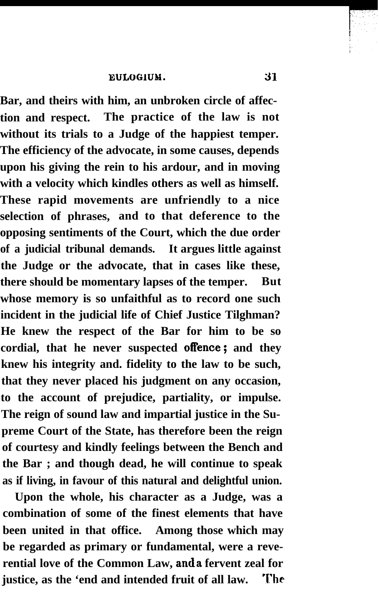**Bar, and theirs with him, an unbroken circle of affection and respect. The practice of the law is not without its trials to a Judge of the happiest temper. The efficiency of the advocate, in some causes, depends upon his giving the rein to his ardour, and in moving with a velocity which kindles others as well as himself. These rapid movements are unfriendly to a nice selection of phrases, and to that deference to the opposing sentiments of the Court, which the due order of a judicial tribunal demands. It argues little against the Judge or the advocate, that in cases like these, there should be momentary lapses of the temper. But whose memory is so unfaithful as to record one such incident in the judicial life of Chief Justice Tilghman? He knew the respect of the Bar for him to be so cordial, that he never suspected offence; and they knew his integrity and. fidelity to the law to be such, that they never placed his judgment on any occasion, to the account of prejudice, partiality, or impulse. The reign of sound law and impartial justice in the Supreme Court of the State, has therefore been the reign of courtesy and kindly feelings between the Bench and the Bar ; and though dead, he will continue to speak as if living, in favour of this natural and delightful union.**

**Upon the whole, his character as a Judge, was a combination of some of the finest elements that have been united in that office. Among those which may be regarded as primary or fundamental, were a reverential love of the Common Law, anda fervent zeal for justice, as the 'end and intended fruit of all law. The**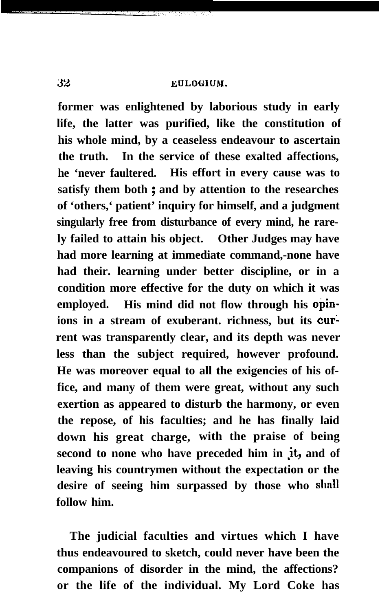**EULOGHIM.** 

**former was enlightened by laborious study in early life, the latter was purified, like the constitution of his whole mind, by a ceaseless endeavour to ascertain the truth. In the service of these exalted affections, he 'never faultered. His effort in every cause was to satisfy them both ; and by attention to the researches of 'others,' patient' inquiry for himself, and a judgment singularly free from disturbance of every mind, he rarely failed to attain his object. Other Judges may have had more learning at immediate command,-none have had their. learning under better discipline, or in a condition more effective for the duty on which it was employed. His mind did not flow through his opinions in a stream of exuberant. richness, but its cur; rent was transparently clear, and its depth was never less than the subject required, however profound. He was moreover equal to all the exigencies of his office, and many of them were great, without any such exertion as appeared to disturb the harmony, or even the repose, of his faculties; and he has finally laid down his great charge, with the praise of being** second to none who have preceded him in it, and of **leaving his countrymen without the expectation or the desire of seeing him surpassed by those who hll follow him.**

**The judicial faculties and virtues which I have thus endeavoured to sketch, could never have been the companions of disorder in the mind, the affections? or the life of the individual. My Lord Coke has**

32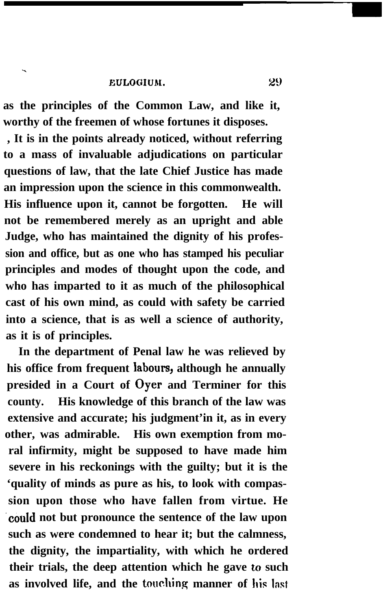.

**as the principles of the Common Law, and like it, worthy of the freemen of whose fortunes it disposes.**

**, It is in the points already noticed, without referring to a mass of invaluable adjudications on particular questions of law, that the late Chief Justice has made an impression upon the science in this commonwealth. His influence upon it, cannot be forgotten. He will not be remembered merely as an upright and able Judge, who has maintained the dignity of his profession and office, but as one who has stamped his peculiar principles and modes of thought upon the code, and who has imparted to it as much of the philosophical cast of his own mind, as could with safety be carried into a science, that is as well a science of authority, as it is of principles.**

**In the department of Penal law he was relieved by his office from frequent labours, although he annually presided in a Court of Oyer and Terminer for this county. His knowledge of this branch of the law was extensive and accurate; his judgment'in it, as in every other, was admirable. His own exemption from moral infirmity, might be supposed to have made him severe in his reckonings with the guilty; but it is the 'quality of minds as pure as his, to look with compassion upon those who have fallen from virtue. He .could not but pronounce the sentence of the law upon such as were condemned to hear it; but the calmness, the dignity, the impartiality, with which he ordered their trials, the deep attention which he gave** to **such** as involved life, and the touching manner of his last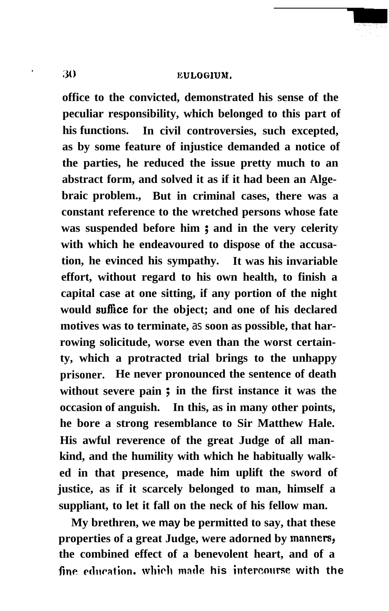### **30 EULOGIUM,**

**office to the convicted, demonstrated his sense of the peculiar responsibility, which belonged to this part of his functions. In civil controversies, such excepted, as by some feature of injustice demanded a notice of the parties, he reduced the issue pretty much to an abstract form, and solved it as if it had been an Algebraic problem., But in criminal cases, there was a constant reference to the wretched persons whose fate was suspended before him ; and in the very celerity with which he endeavoured to dispose of the accusation, he evinced his sympathy. It was his invariable effort, without regard to his own health, to finish a capital case at one sitting, if any portion of the night would sufhce for the object; and one of his declared motives was to terminate,** *as* **soon as possible, that harrowing solicitude, worse even than the worst certainty, which a protracted trial brings to the unhappy prisoner. He never pronounced the sentence of death without severe pain ; in the first instance it was the occasion of anguish. In this, as in many other points, he bore a strong resemblance to Sir Matthew Hale. His awful reverence of the great Judge of all mankind, and the humility with which he habitually walked in that presence, made him uplift the sword of justice, as if it scarcely belonged to man, himself a suppliant, to let it fall on the neck of his fellow man.**

**My brethren, we may be permitted to say, that these** properties of a great Judge, were adorned by manners, **the combined effect of a benevolent heart, and of a fine qdllcatian. which made his intercmwse with the**

**.**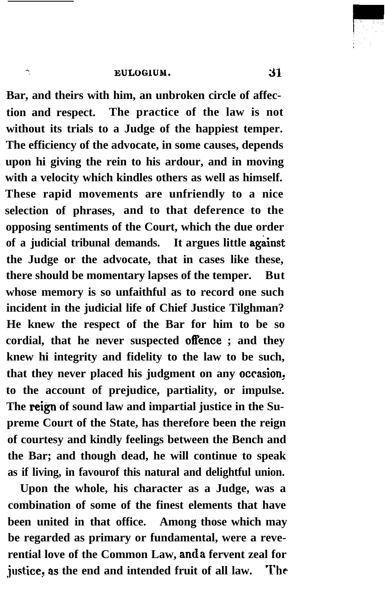#### -. **EULOGIUM. 31**

**Bar, and theirs with him, an unbroken circle of affection and respect. The practice of the law is not without its trials to a Judge of the happiest temper. The efficiency of the advocate, in some causes, depends upon hi giving the rein to his ardour, and in moving with a velocity which kindles others as well as himself. These rapid movements are unfriendly to a nice selection of phrases, and to that deference to the opposing sentiments of the Court, which the due order** of a judicial tribunal demands. It argues little against **the Judge or the advocate, that in cases like these, there should be momentary lapses of the temper. But whose memory is so unfaithful as to record one such incident in the judicial life of Chief Justice Tilghman? He knew the respect of the Bar for him to be so cordial, that he never suspected offence ; and they knew hi integrity and fidelity to the law to be such,** that they never placed his judgment on any occasion, **to the account of prejudice, partiality, or impulse. The reign of sound law and impartial justice in the Supreme Court of the State, has therefore been the reign of courtesy and kindly feelings between the Bench and the Bar; and though dead, he will continue to speak as if living, in favourof this natural and delightful union.**

**Upon the whole, his character as a Judge, was a combination of some of the finest elements that have been united in that office. Among those which may be regarded as primary or fundamental, were a reverential love of the Common Law, anda fervent zeal for @ice, a.s the end and intended fruit of all law. The**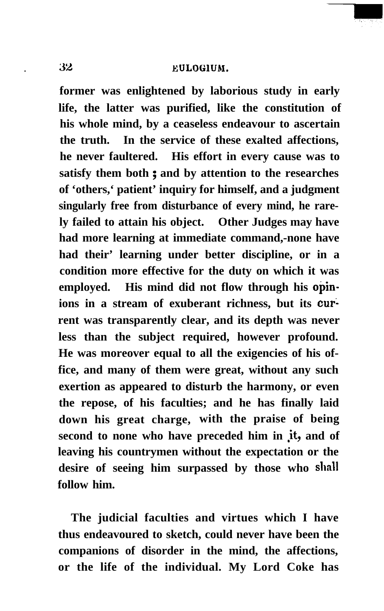**former was enlightened by laborious study in early life, the latter was purified, like the constitution of his whole mind, by a ceaseless endeavour to ascertain the truth. In the service of these exalted affections, he never faultered. His effort in every cause was to satisfy them both ; and by attention to the researches of 'others,' patient' inquiry for himself, and a judgment singularly free from disturbance of every mind, he rarely failed to attain his object. Other Judges may have had more learning at immediate command,-none have had their' learning under better discipline, or in a condition more effective for the duty on which it was employed. His mind did not flow through his opinions in a stream of exuberant richness, but its cur; rent was transparently clear, and its depth was never less than the subject required, however profound. He was moreover equal to all the exigencies of his office, and many of them were great, without any such exertion as appeared to disturb the harmony, or even the repose, of his faculties; and he has finally laid down his great charge, with the praise of being** second to none who have preceded him in it, and of **leaving his countrymen without the expectation or the desire of seeing him surpassed by those who shall follow him.**

**The judicial faculties and virtues which I have thus endeavoured to sketch, could never have been the companions of disorder in the mind, the affections, or the life of the individual. My Lord Coke has**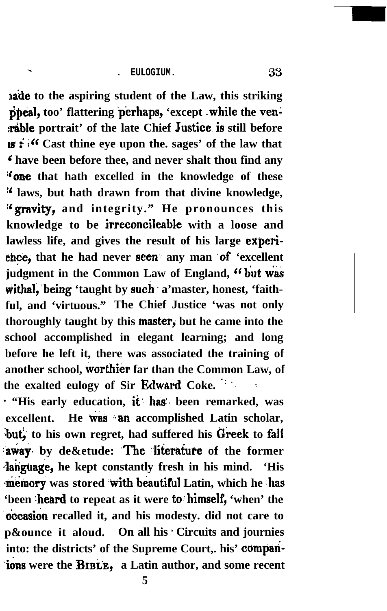. **. EULOGIUM. <sup>33</sup>**

**bade to the aspiring student of the Law, this striking** ppeal, too' flattering perhaps, 'except while the ven*x***able portrait' of the late Chief Justice is still before IS i ;" Cast thine eye upon the. sages' of the law that 6 have been before thee, and never shalt thou find any If one that hath excelled in the knowledge of these 1' laws, but hath drawn from that divine knowledge, ;'gravity, and integrity." He pronounces this knowledge to be irreconcileable with a loose and lawless life, and gives the result of his large experi**ehce, that he had never seen any man of 'excellent judgment in the Common Law of England, "but was withal, being 'taught by such a'master, honest, 'faith**ful, and 'virtuous." The Chief Justice 'was not only** thoroughly taught by this master, but he came into the **school accomplished in elegant learning; and long before he left it, there was associated the training of another school, worthier far than the Common Law, of the exalted eulogy of Sir Edward Coke. " " :**

**- "His early education, it: has'~ been remarked, was excellent.** He was an accomplished Latin scholar, but, to his own regret, had suffered his Greek to fall **away** by de&etude: The literature of the former **4anguage, he kept constantly fresh in his mind. 'His memory** was stored with beautiful Latin, which he has 'been 'heard to repeat as it were to himself, 'when' the **occasion** recalled it, and his modesty. did not care to **p&ounce it aloud.** On all his Circuits and journies **into: the districts' of the Supreme Court,. his' compah- -ions were the** BIBLE, **a Latin author, and some recent**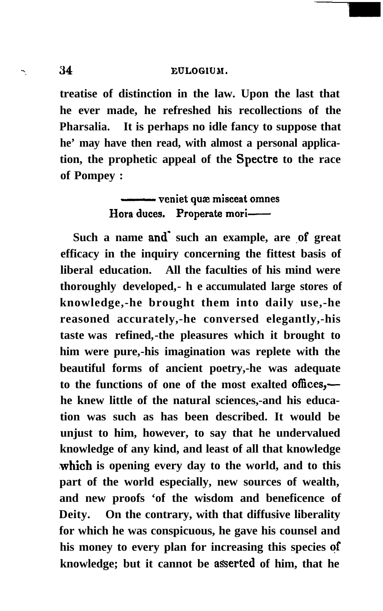#### **<sup>7</sup> 34 EULOGIUM.**

**treatise of distinction in the law. Upon the last that he ever made, he refreshed his recollections of the Pharsalia. It is perhaps no idle fancy to suppose that he' may have then read, with almost a personal application, the prophetic appeal of the Spectre to the race of Pompey :** It is perhaps no idle fancy to :<br>
e then read, with almost a pers<br>
ophetic appeal of the Spectre<br>
:<br> **commenta** we misceat omnes<br>
ora duces. Properate mori

**Hora** duces. Properate mori-

Such a name and such an example, are of great **efficacy in the inquiry concerning the fittest basis of liberal education. All the faculties of his mind were thoroughly developed,-he accumulated large stores of knowledge,-he brought them into daily use,-he reasoned accurately,-he conversed elegantly,-his taste was refined,-the pleasures which it brought to him were pure,-his imagination was replete with the beautiful forms of ancient poetry,-he was adequate to the functions of one of the most exalted offices, he knew little of the natural sciences,-and his education was such as has been described. It would be unjust to him, however, to say that he undervalued knowledge of any kind, and least of all that knowledge .which is opening every day to the world, and to this part of the world especially, new sources of wealth, and new proofs 'of the wisdom and beneficence of Deity. On the contrary, with that diffusive liberality for which he was conspicuous, he gave his counsel and his money to every plan for increasing this species qf** knowledge; but it cannot be asserted of him, that he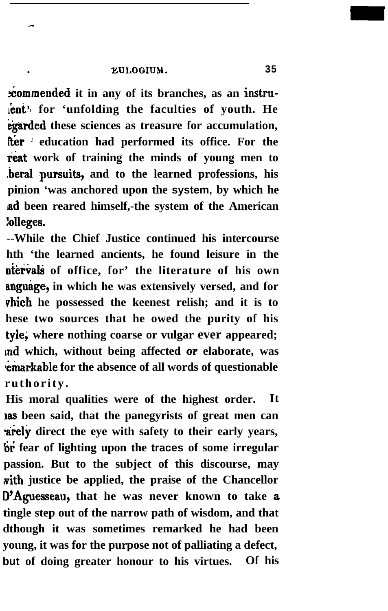### **. EULOGIUM. 35**

**kommended it in any of its branches, as an instru**lent<sup>\*</sup> for 'unfolding the faculties of youth. He **kgarded these sciences as treasure for accumulation,** fter <sup>1</sup> education had performed its office. For the reat work of training the minds of young men to beral pursuits, and to the learned professions, his **pinion 'was anchored upon the system, by which he lad been reared himself,-the system of the American :olleges.**

**--While the Chief Justice continued his intercourse hth 'the learned ancients, he found leisure in the** ntervals of office, for' the literature of his own **anguage, in which he was extensively versed, and for vhich he possessed the keenest relish; and it is to hese two sources that he owed the purity of his #tyle;' where nothing coarse or vulgar ever appeared; md which, without being affected OP elaborate, was** *emarkable for the absence of all words of questionable* **ruthority.**

**His moral qualities were of the highest order. It las been said, that the panegyrists of great men can \*rely direct the eye with safety to their early years, 6i fear of lighting upon the traces of some irregular passion. But to the subject of this discourse, may vith justice be applied, the praise of the Chancellor D'Aguesseau, that he was never known to take a tingle step out of the narrow path of wisdom, and that dthough it was sometimes remarked he had been young, it was for the purpose not of palliating a defect, but of doing greater honour to his virtues. Of his**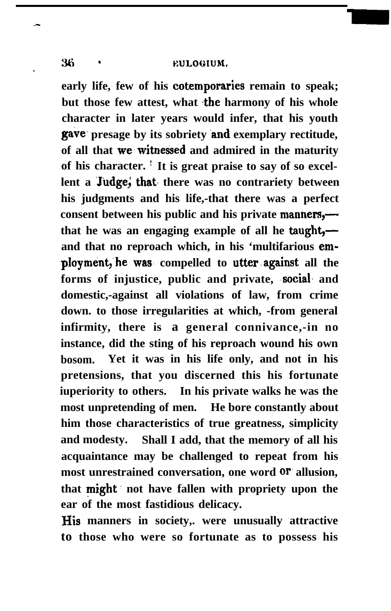### **36 ' EULOGIUM.**

**early life, few of his cotemporaries remain to speak;** but those few attest, what the harmony of his whole **character in later years would infer, that his youth gave, presage by its sobriety .and exemplary rectitude, of all that we'witnessed and admired in the maturity of his character. : It is great praise to say of so excellent a Judge; that there was no contrariety between his judgments and his life,-that there was a perfect consent between his public and his private manners, that he was an engaging example of all he taught, and that no reproach which, in his 'multifarious employment,'he was. compelled to utter.against all the forms of injustice, public and private, 'social% and domestic,-against all violations of law, from crime down. to those irregularities at which, -from general infirmity, there is a general connivance,-in no instance, did the sting of his reproach wound his own bosom. Yet it was in his life only, and not in his pretensions, that you discerned this his fortunate iuperiority to others. In his private walks he was the most unpretending of men. He bore constantly about him those characteristics of true greatness, simplicity and modesty. Shall I add, that the memory of all his acquaintance may be challenged to repeat from his most unrestrained conversation, one word or allusion, that might. not have fallen with propriety upon the ear of the most fastidious delicacy.**

**His manners in society,. were unusually attractive to those who were so fortunate as to possess his**

**.**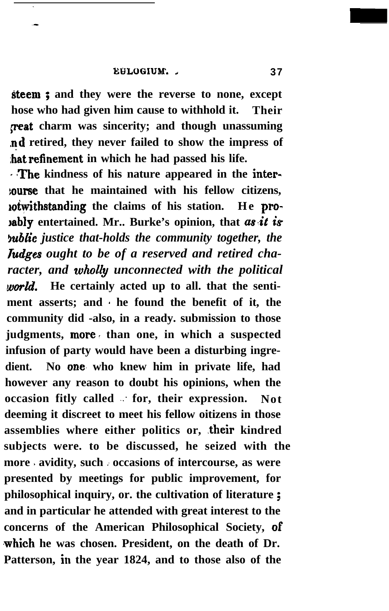**steem ; and they were the reverse to none, except hose who had given him cause to withhold it. Their** *peat* charm was sincerity; and though unassuming **nd retired, they never failed to show the impress of ,hatrefinement in which he had passed his life.**

**<sup>1</sup> BThe kindness of his nature appeared in the inter- :ourse that he maintained with his fellow citizens, lotwithstanding the claims of his station. He pro-Iably** entertained. Mr.. Burke's opinion, that as it is *kublic justice that-holds the community together, the Tudges ought to be of a reserved and retired character, and whoh'y unconnected with the political* world. He certainly acted up to all. that the sentiment asserts; and be found the benefit of it, the **community did -also, in a ready. submission to those judgments, more, than one, in which a suspected infusion of party would have been a disturbing ingredient. No one, who knew him in private life, had however any reason to doubt his opinions, when the occasion fitly called .: for, their expression. Not deeming it discreet to meet his fellow oitizens in those** assemblies where either politics or, their kindred **subjects were. to be discussed, he seized with the** more avidity, such *i* occasions of intercourse, as were **presented by meetings for public improvement, for philosophical inquiry, or. the cultivation of literature ; and in particular he attended with great interest to the concerns of the American Philosophical Society, OF .which he was chosen. President, on the death of Dr. Patterson, in the year 1824, and to those also of the**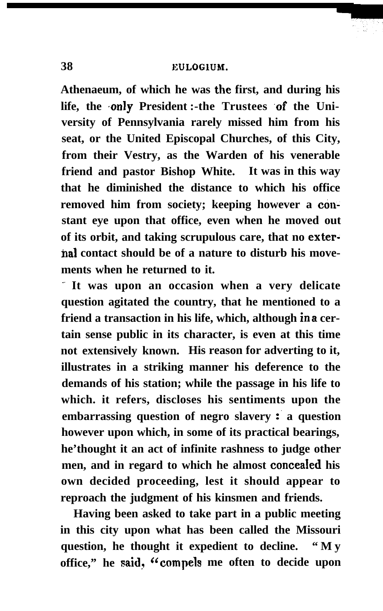**Athenaeum, of which he was the first, and during his** life, the only President :- the Trustees of the Uni**versity of Pennsylvania rarely missed him from his seat, or the United Episcopal Churches, of this City, from their Vestry, as the Warden of his venerable friend and pastor Bishop White. It was in this way that he diminished the distance to which his office** removed him from society; keeping however a con**stant eye upon that office, even when he moved out of its orbit, and taking scrupulous care, that no exterha1 contact should be of a nature to disturb his movements when he returned to it.**

**.. It was upon an occasion when a very delicate question agitated the country, that he mentioned to a friend a transaction in his life, which, although ina certain sense public in its character, is even at this time not extensively known. His reason for adverting to it, illustrates in a striking manner his deference to the demands of his station; while the passage in his life to which. it refers, discloses his sentiments upon the embarrassing question of negro slavery :. a question however upon which, in some of its practical bearings, he'thought it an act of infinite rashness to judge other men, and in regard to which he almost conceaIed his own decided proceeding, lest it should appear to reproach the judgment of his kinsmen and friends.**

**Having been asked to take part in a public meeting in this city upon what has been called the Missouri question, he thought it expedient to decline. "My office," he said? C'compels me often to decide upon**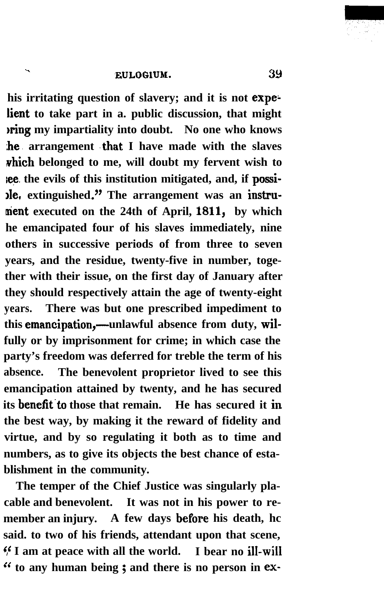.

his irritating question of slavery; and it is not expelient to take part in a. public discussion, that might **nting my impartiality into doubt.** No one who knows **he) arrangement 'that I have made with the slaves which belonged to me, will doubt my fervent wish to lee. the evils of this institution mitigated, and, if possijle, extinguished." The arrangement was an instrunient executed on the 24th of April,** 1811, **by which he emancipated four of his slaves immediately, nine others in successive periods of from three to seven years, and the residue, twenty-five in number, together with their issue, on the first day of January after they should respectively attain the age of twenty-eight years. There was but one prescribed impediment to** this emancipation,—unlawful absence from duty, wil**fully or by imprisonment for crime; in which case the party's freedom was deferred for treble the term of his absence. The benevolent proprietor lived to see this emancipation attained by twenty, and he has secured its benefit to those that remain.** He has secured it in **the best way, by making it the reward of fidelity and virtue, and by so regulating it both as to time and numbers, as to give its objects the best chance of establishment in the community.**

**The temper of the Chief Justice was singularly placable and benevolent. It was not in his power to re**member an injury. A few days before his death, hc **said. to two of his friends, attendant upon that scene, 5' I am at peace with all the world. I bear no ill-wil1 c' to any human being ; and there is no person in ex-**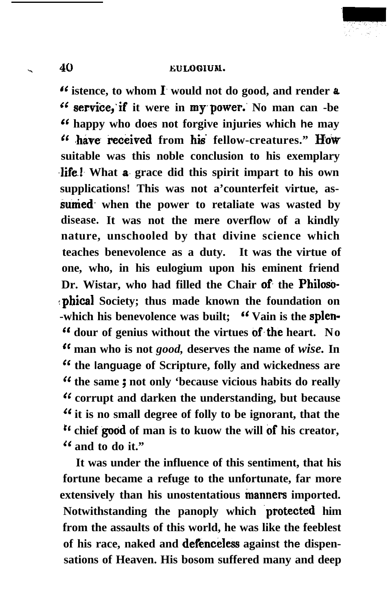# . 40 **EULOGIUN.**

**\*' istence, to whom 1. would not do good, and render** a **Cc service;if it were in my.power.' No man can -be Cc happy who does not forgive injuries which he may** <sup>66</sup> have **received** from his fellow-creatures." How **suitable was this noble conclusion to his exemplary life!** What **a** grace did this spirit impart to his own **supplications! This was not a'counterfeit virtue, assunied. when the power to retaliate was wasted by disease. It was not the mere overflow of a kindly nature, unschooled by that divine science which teaches benevolence as a duty. It was the virtue of one, who, in his eulogium upon his eminent friend Dr. Wistar, who had filled the Chair of. the Philo& <phical Society; thus made known the foundation on** -which his benevolence was built; **''** Vain is the splen-**" dour of genius without the virtues of,the heart. No '( man who is not** *good,* **deserves the name of** *wise.* **In " the language of Scripture, folly and wickedness are " the same ; not only 'because vicious habits do really " corrupt and darken the understanding, but because " it is no small degree of folly to be ignorant, that the r6 chief good of man is to kuow the will cf his creator, '( and to do it."**

**It was under the influence of this sentiment, that his fortune became a refuge to the unfortunate, far more extensively than his unostentatious manners imported.** Notwithstanding the panoply which protected him **from the assaults of this world, he was like the feeblest of his race, naked and defenceless against the dispensations of Heaven. His bosom suffered many and deep**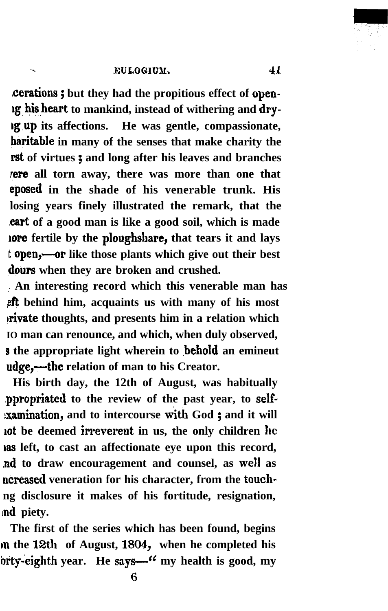# . **GuLoGIuJK. 4r.**

**'cerations ; but they had the propitious effect of opeu**lg his heart to mankind, instead of withering and dry-**Lg,up its affections. He was gentle, compassionate, haritable in many of the senses that make charity the rst of virtues ; and long after his leaves and branches rere all torn away, there was more than one that eposed in the shade of his venerable trunk. His losing years finely illustrated the remark, that the cart of a good man is like a good soil, which is made lore fertile by the ploughshare, that tears it and lays** t **open,—or** like those plants which give out their best **dours when they are broken and crushed.**

**,. An interesting record which this venerable man has eft** behind him, acquaints us with many of his most **private thoughts, and presents him in a relation which IO man can renounce, and which, when duly observed, s** the appropriate light wherein to **behold** an emineut **udge,-the relation of man to his Creator.**

**His birth day, the 12th of August, was habitually ,ppropriated to the review of the past year, to self- :xamination, and to intercourse with God ; and it will** lot be deemed irreverent in us, the only children he **was left, to cast an affectionate eye upon this record, nd to draw encouragement and counsel, as well as ncreased veneration for his character, from the touchng disclosure it makes of his fortitude, resignation, Ind piety.**

**The first of the series which has been found, begins In the** 12th **of August,** 1804, **when he completed his brt\$eighth year. He says-'C my health is good, my**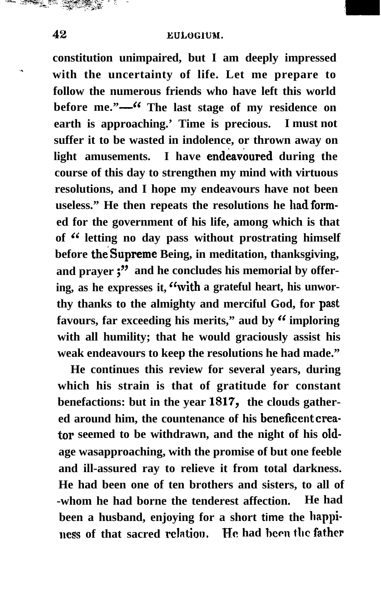**constitution unimpaired, but I am deeply impressed % with the uncertainty of life. Let me prepare to follow the numerous friends who have left this world** before me."—<sup>66</sup> The last stage of my residence on **earth is approaching.' Time is precious. I must not suffer it to be wasted in indolence, or thrown away on light amusements.** I have endeavoured during the **course of this day to strengthen my mind with virtuous resolutions, and I hope my endeavours have not been** useless." He then repeats the resolutions he had form**ed for the government of his life, among which is that of '6 letting no day pass without prostrating himself** before the Supreme Being, in meditation, thanksgiving, **and prayer ;" and he concludes his memorial by offering, as he expresses it, "with a grateful heart, his unworthy thanks to the almighty and merciful God, for** past favours, far exceeding his merits," aud by "imploring" **with all humility; that he would graciously assist his weak endeavours to keep the resolutions he had made."**

**He continues this review for several years, during which his strain is that of gratitude for constant benefactions: but in the year** 1817, **the clouds gathered around him, the countenance of his beneficentcrea**tor seemed to be withdrawn, and the night of his old**age wasapproaching, with the promise of but one feeble and ill-assured ray to relieve it from total darkness. He had been one of ten brothers and sisters, to all of -whom he had borne the tenderest affection. He had been a husband, enjoying for a short time the happiuess of that sacred relation. He had hecn tbc fat.her**

-- "ys,& y.:;. '~~~~+.~~';' <sup>I</sup> ^ . --; --&+l. . ..."&?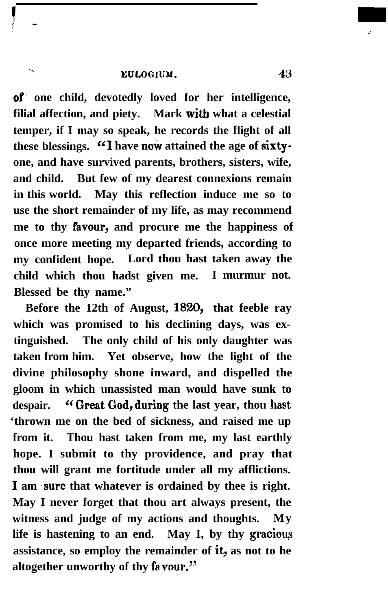.

**of. one child, devotedly loved for her intelligence, filial affection, and piety. Mark with what a celestial temper, if I may so speak, he records the flight of all** these blessings. "I have now attained the age of sixty**one, and have survived parents, brothers, sisters, wife, and child. But few of my dearest connexions remain in this world. May this reflection induce me so to use the short remainder of my life, as may recommend me to thy Pavour, and procure me the happiness of once more meeting my departed friends, according to my confident hope. Lord thou hast taken away the child which thou hadst given me. I murmur not. Blessed be thy name."**

**Before the 12th of August,** 1820, **that feeble ray which was promised to his declining days, was extinguished. The only child of his only daughter was taken from him. Yet observe, how the light of the divine philosophy shone inward, and dispelled the gloom in which unassisted man would have sunk to despair. '(Great God,during the last year, thou hast 'thrown me on the bed of sickness, and raised me up from it. Thou hast taken from me, my last earthly hope. I submit to thy providence, and pray that thou will grant me fortitude under all my afflictions.** I am sure that whatever is ordained by thee is right. **May I never forget that thou art always present, the witness and judge of my actions and thoughts. My life is hastening to an end. May I, by thy graciou?** assistance, so employ the remainder of it, as not to he altogether unworthy of thy favour."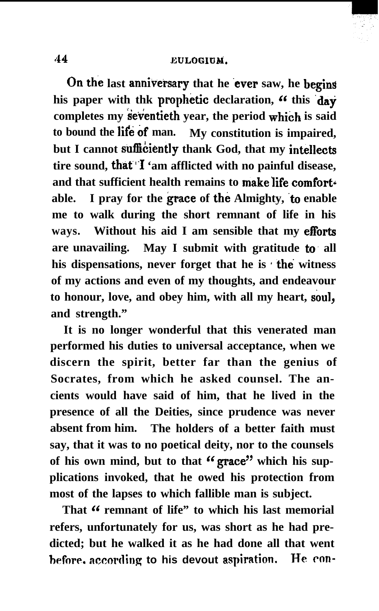## 44 **euLoGrnM,**

On the last anniversary that he ever saw, he begins his paper with thk prophetic declaration, " this day completes my seventieth year, the period which is said to bound the life of man. My constitution is impaired, but I cannot sufficiently thank God, that my intellects **tire sound, that"1 'am afflicted with no painful disease,** and that sufficient health remains to make life comfortable. I pray for the grace of the Almighty, to enable **me to walk during the short remnant of life in his ways. Without his aid I am sensible that my efforts are unavailing. May I submit with gratitude to. all his dispensations, never forget that he is f the witness of my actions and even of my thoughts, and endeavour** to honour, love, and obey him, with all my heart, soul, **and strength."**

**It is no longer wonderful that this venerated man performed his duties to universal acceptance, when we discern the spirit, better far than the genius of Socrates, from which he asked counsel. The ancients would have said of him, that he lived in the presence of all the Deities, since prudence was never absent from him. The holders of a better faith must say, that it was to no poetical deity, nor to the counsels** of his own mind, but to that "grace" which his sup**plications invoked, that he owed his protection from most of the lapses to which fallible man is subject.**

**That 6' remnant of life" to which his last memorial refers, unfortunately for us, was short as he had predicted; but he walked it as he had done all that went heforc. accmlirlg to his devout aspimtion. He cm-**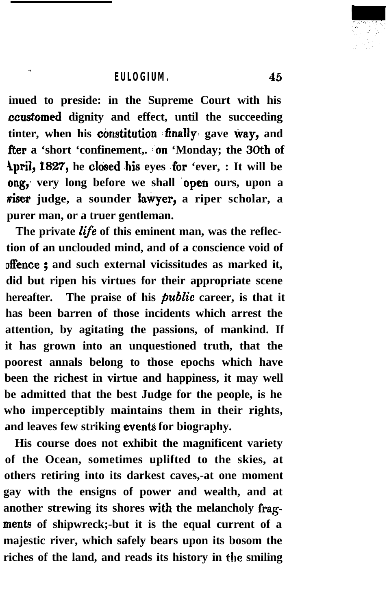.

**inued to preside: in the Supreme Court with his ccustomed dignity and effect, until the succeeding** tinter, when his constitution finally gave way, and **fter a 'short 'confinement,. :on 'Monday; the 30th of April, 1827, he closed his eyes for 'ever, : It will be ong,** very long before we shall **open** ours, upon a **riser** judge, a sounder lawyer, a riper scholar, a **purer man, or a truer gentleman.**

**The private life of this eminent man, was the reflection of an unclouded mind, and of a conscience void of offence ; and such external vicissitudes as marked it, did but ripen his virtues for their appropriate scene** hereafter. The praise of his *public* career, is that it **has been barren of those incidents which arrest the attention, by agitating the passions, of mankind. If it has grown into an unquestioned truth, that the poorest annals belong to those epochs which have been the richest in virtue and happiness, it may well be admitted that the best Judge for the people, is he who imperceptibly maintains them in their rights,** and leaves few striking events for biography.

**His course does not exhibit the magnificent variety of the Ocean, sometimes uplifted to the skies, at others retiring into its darkest caves,-at one moment gay with the ensigns of power and wealth, and at** another strewing its shores with the melancholy frag**ments of shipwreck;-but it is the equal current of a majestic river, which safely bears upon its bosom the riches of the land, and reads its history in the smiling**